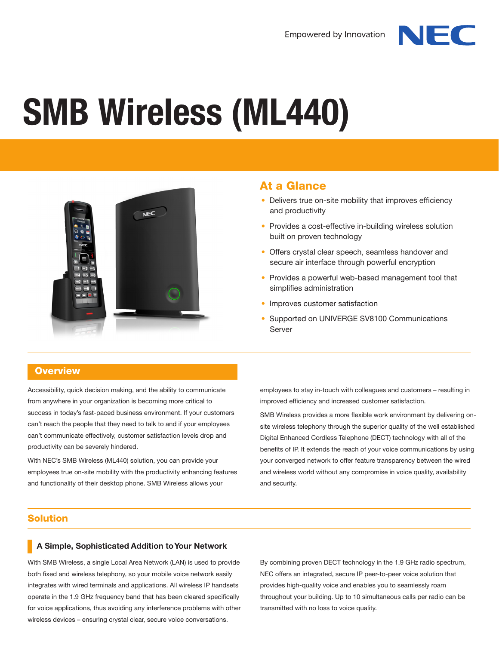

# **SMB Wireless (ML440)**



## At a Glance

- Delivers true on-site mobility that improves efficiency and productivity
- Provides a cost-effective in-building wireless solution built on proven technology
- Offers crystal clear speech, seamless handover and secure air interface through powerful encryption
- Provides a powerful web-based management tool that simplifies administration
- Improves customer satisfaction
- Supported on UNIVERGE SV8100 Communications Server

#### **Overview**

Accessibility, quick decision making, and the ability to communicate from anywhere in your organization is becoming more critical to success in today's fast-paced business environment. If your customers can't reach the people that they need to talk to and if your employees can't communicate effectively, customer satisfaction levels drop and productivity can be severely hindered.

With NEC's SMB Wireless (ML440) solution, you can provide your employees true on-site mobility with the productivity enhancing features and functionality of their desktop phone. SMB Wireless allows your

employees to stay in-touch with colleagues and customers – resulting in improved efficiency and increased customer satisfaction.

SMB Wireless provides a more flexible work environment by delivering onsite wireless telephony through the superior quality of the well established Digital Enhanced Cordless Telephone (DECT) technology with all of the benefits of IP. It extends the reach of your voice communications by using your converged network to offer feature transparency between the wired and wireless world without any compromise in voice quality, availability and security.

#### Solution

#### **A Simple, Sophisticated Addition to Your Network**

With SMB Wireless, a single Local Area Network (LAN) is used to provide both fixed and wireless telephony, so your mobile voice network easily integrates with wired terminals and applications. All wireless IP handsets operate in the 1.9 GHz frequency band that has been cleared specifically for voice applications, thus avoiding any interference problems with other wireless devices – ensuring crystal clear, secure voice conversations.

By combining proven DECT technology in the 1.9 GHz radio spectrum, NEC offers an integrated, secure IP peer-to-peer voice solution that provides high-quality voice and enables you to seamlessly roam throughout your building. Up to 10 simultaneous calls per radio can be transmitted with no loss to voice quality.